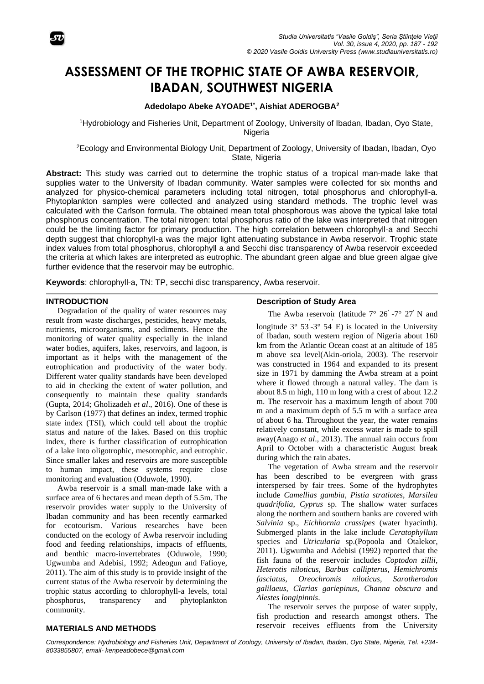

# **ASSESSMENT OF THE TROPHIC STATE OF AWBA RESERVOIR, IBADAN, SOUTHWEST NIGERIA**

## **Adedolapo Abeke AYOADE1\* , Aishiat ADEROGBA<sup>2</sup>**

<sup>1</sup>Hydrobiology and Fisheries Unit, Department of Zoology, University of Ibadan, Ibadan, Oyo State, **Nigeria** 

<sup>2</sup>Ecology and Environmental Biology Unit, Department of Zoology, University of Ibadan, Ibadan, Oyo State, Nigeria

**Abstract:** This study was carried out to determine the trophic status of a tropical man-made lake that supplies water to the University of Ibadan community. Water samples were collected for six months and analyzed for physico-chemical parameters including total nitrogen, total phosphorus and chlorophyll-a. Phytoplankton samples were collected and analyzed using standard methods. The trophic level was calculated with the Carlson formula. The obtained mean total phosphorous was above the typical lake total phosphorus concentration. The total nitrogen: total phosphorus ratio of the lake was interpreted that nitrogen could be the limiting factor for primary production. The high correlation between chlorophyll-a and Secchi depth suggest that chlorophyll-a was the major light attenuating substance in Awba reservoir. Trophic state index values from total phosphorus, chlorophyll a and Secchi disc transparency of Awba reservoir exceeded the criteria at which lakes are interpreted as eutrophic. The abundant green algae and blue green algae give further evidence that the reservoir may be eutrophic.

**Keywords**: chlorophyll-a, TN: TP, secchi disc transparency, Awba reservoir.

#### **INTRODUCTION**

Degradation of the quality of water resources may result from waste discharges, pesticides, heavy metals, nutrients, microorganisms, and sediments. Hence the monitoring of water quality especially in the inland water bodies, aquifers, lakes, reservoirs, and lagoon, is important as it helps with the management of the eutrophication and productivity of the water body. Different water quality standards have been developed to aid in checking the extent of water pollution, and consequently to maintain these quality standards (Gupta, 2014; Gholizadeh *et al*., 2016). One of these is by Carlson (1977) that defines an index, termed trophic state index (TSI), which could tell about the trophic status and nature of the lakes. Based on this trophic index, there is further classification of eutrophication of a lake into oligotrophic, mesotrophic, and eutrophic. Since smaller lakes and reservoirs are more susceptible to human impact, these systems require close monitoring and evaluation (Oduwole, 1990).

Awba reservoir is a small man-made lake with a surface area of 6 hectares and mean depth of 5.5m. The reservoir provides water supply to the University of Ibadan community and has been recently earmarked for ecotourism. Various researches have been conducted on the ecology of Awba reservoir including food and feeding relationships, impacts of effluents, and benthic macro-invertebrates (Oduwole, 1990; Ugwumba and Adebisi, 1992; Adeogun and Fafioye, 2011). The aim of this study is to provide insight of the current status of the Awba reservoir by determining the trophic status according to chlorophyll-a levels, total phosphorus, transparency and phytoplankton community.

#### **Description of Study Area**

The Awba reservoir (latitude  $7^{\circ}$  26' -7° 27' N and

longitude  $3^{\circ}$  53 -  $3^{\circ}$  54 E) is located in the University of Ibadan, south western region of Nigeria about 160 km from the Atlantic Ocean coast at an altitude of 185 m above sea level(Akin-oriola, 2003). The reservoir was constructed in 1964 and expanded to its present size in 1971 by damming the Awba stream at a point where it flowed through a natural valley. The dam is about 8.5 m high, 110 m long with a crest of about 12.2 m. The reservoir has a maximum length of about 700 m and a maximum depth of 5.5 m with a surface area of about 6 ha. Throughout the year, the water remains relatively constant, while excess water is made to spill away(Anago *et al*., 2013). The annual rain occurs from April to October with a characteristic August break during which the rain abates.

The vegetation of Awba stream and the reservoir has been described to be evergreen with grass interspersed by fair trees. Some of the hydrophytes include *Camellias gambia*, *Pistia stratiotes*, *Marsilea quadrifolia*, *Cyprus* sp. The shallow water surfaces along the northern and southern banks are covered with *Salvinia* sp., *Eichhornia crassipes* (water hyacinth). Submerged plants in the lake include *Ceratophyllum*  species and *Utricularia* sp.(Popoola and Otalekor, 2011). Ugwumba and Adebisi (1992) reported that the fish fauna of the reservoir includes *Coptodon zillii*, *Heterotis niloticus, Barbus callipterus, Hemichromis fasciatus*, *Oreochromis niloticus, Sarotherodon galilaeus, Clarias gariepinus, Channa obscura* and *Alestes longipinnis*.

The reservoir serves the purpose of water supply, fish production and research amongst others. The reservoir receives effluents from the University

# **MATERIALS AND METHODS**

*Correspondence: Hydrobiology and Fisheries Unit, Department of Zoology, University of Ibadan, Ibadan, Oyo State, Nigeria, Tel. +234- 8033855807, email- kenpeadobece@gmail.com*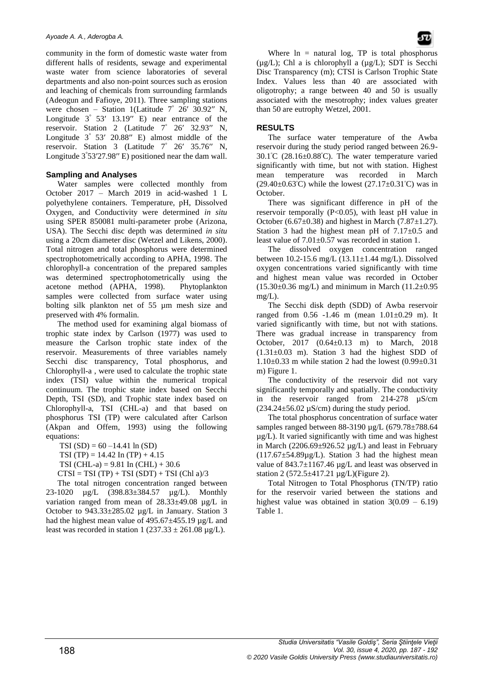community in the form of domestic waste water from different halls of residents, sewage and experimental waste water from science laboratories of several departments and also non-point sources such as erosion and leaching of chemicals from surrounding farmlands (Adeogun and Fafioye, 2011). Three sampling stations were chosen – Station 1(Latitude  $7^{\circ}$  26' 30.92" N, Longitude  $3^{\degree}$  53' 13.19" E) near entrance of the reservoir. Station 2 (Latitude 7° 26′ 32.93′′ N, Longitude  $3^{\degree}$  53' 20.88" E) almost middle of the reservoir. Station 3 (Latitude 7° 26′ 35.76′′ N, Longitude 3°53′27.98′′ E) positioned near the dam wall.

## **Sampling and Analyses**

Water samples were collected monthly from October 2017 – March 2019 in acid-washed 1 L polyethylene containers. Temperature, pH, Dissolved Oxygen, and Conductivity were determined *in situ* using SPER 850081 multi-parameter probe (Arizona, USA). The Secchi disc depth was determined *in situ* using a 20cm diameter disc (Wetzel and Likens, 2000). Total nitrogen and total phosphorus were determined spectrophotometrically according to APHA, 1998. The chlorophyll-a concentration of the prepared samples was determined spectrophotometrically using the acetone method (APHA, 1998). Phytoplankton samples were collected from surface water using bolting silk plankton net of 55 µm mesh size and preserved with 4% formalin.

The method used for examining algal biomass of trophic state index by Carlson (1977) was used to measure the Carlson trophic state index of the reservoir. Measurements of three variables namely Secchi disc transparency, Total phosphorus, and Chlorophyll-a , were used to calculate the trophic state index (TSI) value within the numerical tropical continuum. The trophic state index based on Secchi Depth, TSI (SD), and Trophic state index based on Chlorophyll-a, TSI (CHL-a) and that based on phosphorus TSI (TP) were calculated after Carlson (Akpan and Offem, 1993) using the following equations:

TSI  $(SD) = 60 - 14.41 \ln(SD)$ 

TSI (TP) =  $14.42$  In (TP) +  $4.15$ 

TSI (CHL-a) =  $9.81$  In (CHL) +  $30.6$ 

 $CTSI = TSI(TP) + TSI(SDT) + TSI(Chl a)/3$ 

The total nitrogen concentration ranged between 23-1020 µg/L (398.83±384.57 µg/L). Monthly variation ranged from mean of 28.33±49.08 µg/L in October to 943.33±285.02 µg/L in January. Station 3 had the highest mean value of  $495.67 \pm 455.19 \,\mu g/L$  and least was recorded in station 1 ( $237.33 \pm 261.08 \,\mu$ g/L).

Where  $\ln$  = natural log, TP is total phosphorus  $(\mu g/L)$ ; Chl a is chlorophyll a  $(\mu g/L)$ ; SDT is Secchi Disc Transparency (m); CTSI is Carlson Trophic State Index. Values less than 40 are associated with oligotrophy; a range between 40 and 50 is usually associated with the mesotrophy; index values greater than 50 are eutrophy Wetzel, 2001.

## **RESULTS**

The surface water temperature of the Awba reservoir during the study period ranged between 26.9- 30.1<sup>ᵒ</sup>C (28.16±0.88<sup>ᵒ</sup>C). The water temperature varied significantly with time, but not with station. Highest mean temperature was recorded in March  $(29.40\pm0.63^{\circ}\text{C})$  while the lowest  $(27.17\pm0.31^{\circ}\text{C})$  was in October.

There was significant difference in pH of the reservoir temporally (P<0.05), with least pH value in October (6.67 $\pm$ 0.38) and highest in March (7.87 $\pm$ 1.27). Station 3 had the highest mean pH of  $7.17 \pm 0.5$  and least value of 7.01±0.57 was recorded in station 1.

The dissolved oxygen concentration ranged between 10.2-15.6 mg/L (13.11±1.44 mg/L). Dissolved oxygen concentrations varied significantly with time and highest mean value was recorded in October  $(15.30\pm0.36 \text{ mg/L})$  and minimum in March  $(11.2\pm0.95$  $mg/L$ ).

The Secchi disk depth (SDD) of Awba reservoir ranged from  $0.56 -1.46$  m (mean  $1.01 \pm 0.29$  m). It varied significantly with time, but not with stations. There was gradual increase in transparency from October, 2017 (0.64±0.13 m) to March, 2018  $(1.31\pm0.03 \text{ m})$ . Station 3 had the highest SDD of  $1.10\pm0.33$  m while station 2 had the lowest  $(0.99\pm0.31)$ m) Figure 1.

The conductivity of the reservoir did not vary significantly temporally and spatially. The conductivity in the reservoir ranged from 214-278 µS/cm  $(234.24 \pm 56.02 \,\mu\text{S/cm})$  during the study period.

The total phosphorus concentration of surface water samples ranged between 88-3190 µg/L (679.78±788.64 µg/L). It varied significantly with time and was highest in March  $(2206.69 \pm 926.52 \,\mu g/L)$  and least in February  $(117.67\pm54.89\mu$ g/L). Station 3 had the highest mean value of  $843.7 \pm 1167.46 \mu g/L$  and least was observed in station 2 (572.5±417.21 µg/L)(Figure 2).

Total Nitrogen to Total Phosphorus (TN/TP) ratio for the reservoir varied between the stations and highest value was obtained in station  $3(0.09 - 6.19)$ Table 1.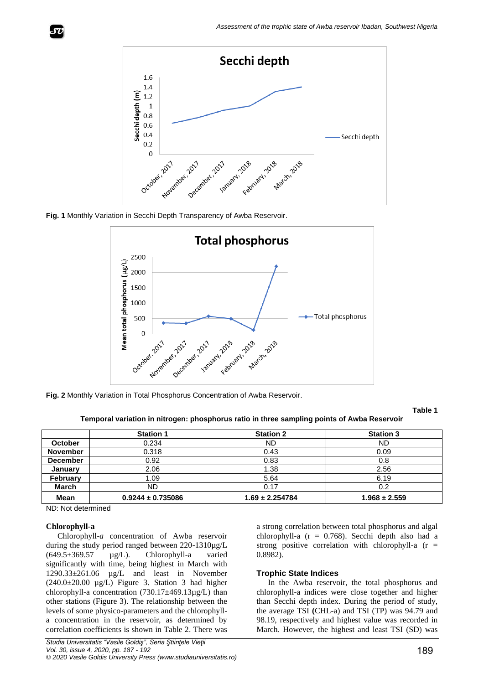







**Table 1 Temporal variation in nitrogen: phosphorus ratio in three sampling points of Awba Reservoir**

|                 | <b>Station 1</b>      | <b>Station 2</b>    | <b>Station 3</b>  |
|-----------------|-----------------------|---------------------|-------------------|
| <b>October</b>  | 0.234                 | <b>ND</b>           | <b>ND</b>         |
| <b>November</b> | 0.318                 | 0.43                | 0.09              |
| <b>December</b> | 0.92                  | 0.83                | 0.8               |
| January         | 2.06                  | 1.38                | 2.56              |
| <b>February</b> | 1.09                  | 5.64                | 6.19              |
| <b>March</b>    | ND                    | 0.17                | 0.2               |
| Mean            | $0.9244 \pm 0.735086$ | $1.69 \pm 2.254784$ | $1.968 \pm 2.559$ |

ND: Not determined

## **Chlorophyll-a**

Chlorophyll-*a* concentration of Awba reservoir during the study period ranged between 220-1310µg/L (649.5±369.57 µg/L). Chlorophyll-a varied significantly with time, being highest in March with 1290.33±261.06 µg/L and least in November  $(240.0\pm20.00 \text{ µg/L})$  Figure 3. Station 3 had higher chlorophyll-a concentration  $(730.17\pm469.13\mu g/L)$  than other stations (Figure 3). The relationship between the levels of some physico-parameters and the chlorophylla concentration in the reservoir, as determined by correlation coefficients is shown in Table 2. There was

a strong correlation between total phosphorus and algal chlorophyll-a  $(r = 0.768)$ . Secchi depth also had a strong positive correlation with chlorophyll-a  $(r =$ 0.8982).

#### **Trophic State Indices**

In the Awba reservoir, the total phosphorus and chlorophyll-a indices were close together and higher than Secchi depth index. During the period of study, the average TSI **(**CHL-a) and TSI (TP) was 94.79 and 98.19, respectively and highest value was recorded in March. However, the highest and least TSI (SD) was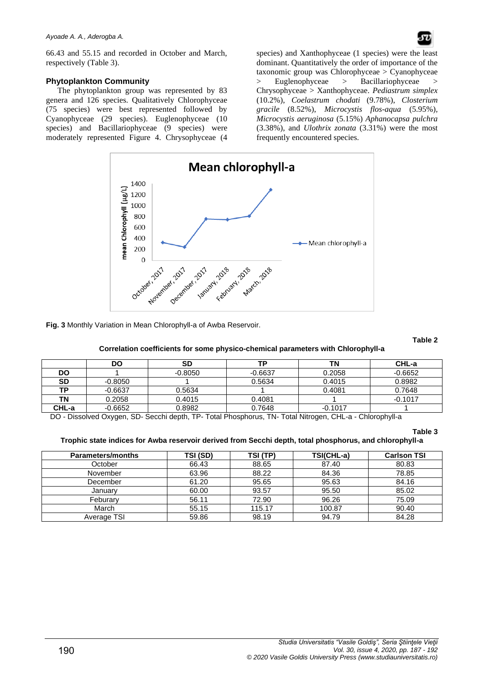66.43 and 55.15 and recorded in October and March, respectively (Table 3).

## **Phytoplankton Community**

The phytoplankton group was represented by 83 genera and 126 species. Qualitatively Chlorophyceae (75 species) were best represented followed by Cyanophyceae (29 species). Euglenophyceae (10 species) and Bacillariophyceae (9 species) were moderately represented Figure 4. Chrysophyceae (4

species) and Xanthophyceae (1 species) were the least dominant. Quantitatively the order of importance of the taxonomic group was Chlorophyceae > Cyanophyceae Euglenophyceae > Bacillariophyceae Chrysophyceae > Xanthophyceae. *Pediastrum simplex* (10.2%), *Coelastrum chodati* (9.78%), *Closterium gracile* (8.52%), *Microcystis flos-aqua* (5.95%)*, Microcystis aeruginosa* (5.15%) *Aphanocapsa pulchra* (3.38%), and *Ulothrix zonata* (3.31%) were the most frequently encountered species.



**Fig. 3** Monthly Variation in Mean Chlorophyll-a of Awba Reservoir.

**Table 2**

## **Correlation coefficients for some physico-chemical parameters with Chlorophyll-a**

|           | DO        | SD        | то        | ΤN        | CHL-a     |
|-----------|-----------|-----------|-----------|-----------|-----------|
| DO        |           | $-0.8050$ | $-0.6637$ | 0.2058    | $-0.6652$ |
| <b>SD</b> | $-0.8050$ |           | 0.5634    | 0.4015    | 0.8982    |
| TP.       | $-0.6637$ | 0.5634    |           | 0.4081    | 0.7648    |
| ΤN        | 0.2058    | 0.4015    | 0.4081    |           | $-0.1017$ |
| CHL-a     | $-0.6652$ | 0.8982    | 0.7648    | $-0.1017$ |           |

DO - Dissolved Oxygen, SD- Secchi depth, TP- Total Phosphorus, TN- Total Nitrogen, CHL-a - Chlorophyll-a

**Table 3**

## **Trophic state indices for Awba reservoir derived from Secchi depth, total phosphorus, and chlorophyll-a**

| <b>Parameters/months</b> | TSI (SD) | TSI (TP) | TSI(CHL-a) | <b>Carlson TSI</b> |
|--------------------------|----------|----------|------------|--------------------|
| October                  | 66.43    | 88.65    | 87.40      | 80.83              |
| November                 | 63.96    | 88.22    | 84.36      | 78.85              |
| December                 | 61.20    | 95.65    | 95.63      | 84.16              |
| Januarv                  | 60.00    | 93.57    | 95.50      | 85.02              |
| Feburarv                 | 56.11    | 72.90    | 96.26      | 75.09              |
| March                    | 55.15    | 115.17   | 100.87     | 90.40              |
| Average TSI              | 59.86    | 98.19    | 94.79      | 84.28              |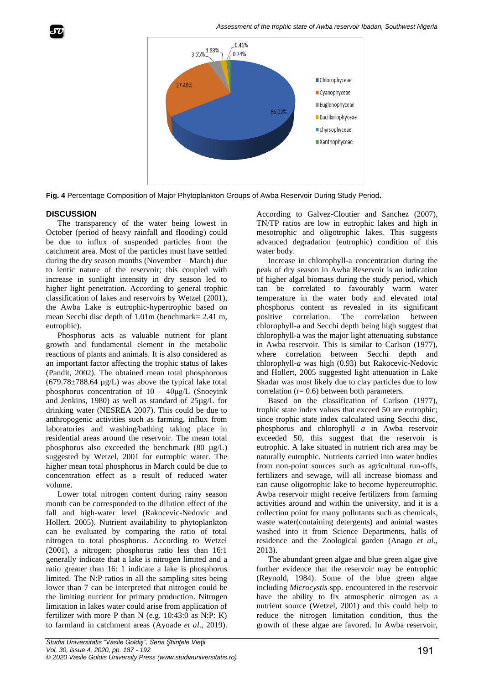

**Fig. 4** Percentage Composition of Major Phytoplankton Groups of Awba Reservoir During Study Period**.**

## **DISCUSSION**

The transparency of the water being lowest in October (period of heavy rainfall and flooding) could be due to influx of suspended particles from the catchment area. Most of the particles must have settled during the dry season months (November – March) due to lentic nature of the reservoir; this coupled with increase in sunlight intensity in dry season led to higher light penetration. According to general trophic classification of lakes and reservoirs by Wetzel (2001), the Awba Lake is eutrophic-hypertrophic based on mean Secchi disc depth of 1.01m (benchmark= 2.41 m, eutrophic).

Phosphorus acts as valuable nutrient for plant growth and fundamental element in the metabolic reactions of plants and animals. It is also considered as an important factor affecting the trophic status of lakes (Pandit, 2002). The obtained mean total phosphorous  $(679.78\pm788.64 \text{ µg/L})$  was above the typical lake total phosphorus concentration of  $10 - 40\mu g/L$  (Snoeyink and Jenkins, 1980) as well as standard of 25µg/L for drinking water (NESREA 2007). This could be due to anthropogenic activities such as farming, influx from laboratories and washing/bathing taking place in residential areas around the reservoir. The mean total phosphorus also exceeded the benchmark (80 µg/L) suggested by Wetzel, 2001 for eutrophic water. The higher mean total phosphorus in March could be due to concentration effect as a result of reduced water volume.

Lower total nitrogen content during rainy season month can be corresponded to the dilution effect of the fall and high-water level (Rakocevic-Nedovic and Hollert, 2005). Nutrient availability to phytoplankton can be evaluated by comparing the ratio of total nitrogen to total phosphorus. According to Wetzel (2001), a nitrogen: phosphorus ratio less than 16:1 generally indicate that a lake is nitrogen limited and a ratio greater than 16: 1 indicate a lake is phosphorus limited. The N:P ratios in all the sampling sites being lower than 7 can be interpreted that nitrogen could be the limiting nutrient for primary production. Nitrogen limitation in lakes water could arise from application of fertilizer with more P than N (e.g. 10:43:0 as N:P: K) to farmland in catchment areas (Ayoade *et al*., 2019).

According to Galvez-Cloutier and Sanchez (2007), TN/TP ratios are low in eutrophic lakes and high in mesotrophic and oligotrophic lakes. This suggests advanced degradation (eutrophic) condition of this water body.

Increase in chlorophyll-a concentration during the peak of dry season in Awba Reservoir is an indication of higher algal biomass during the study period, which can be correlated to favourably warm water temperature in the water body and elevated total phosphorus content as revealed in its significant positive correlation. The correlation between chlorophyll-a and Secchi depth being high suggest that chlorophyll-a was the major light attenuating substance in Awba reservoir. This is similar to Carlson (1977), where correlation between Secchi depth and chlorophyll-*a* was high (0.93) but Rakocevic-Nedovic and Hollert, 2005 suggested light attenuation in Lake Skadar was most likely due to clay particles due to low correlation  $(r= 0.6)$  between both parameters.

Based on the classification of Carlson (1977), trophic state index values that exceed 50 are eutrophic; since trophic state index calculated using Secchi disc, phosphorus and chlorophyll *a* in Awba reservoir exceeded 50, this suggest that the reservoir is eutrophic. A lake situated in nutrient rich area may be naturally eutrophic. Nutrients carried into water bodies from non-point sources such as agricultural run-offs, fertilizers and sewage, will all increase biomass and can cause oligotrophic lake to become hypereutrophic. Awba reservoir might receive fertilizers from farming activities around and within the university, and it is a collection point for many pollutants such as chemicals, waste water(containing detergents) and animal wastes washed into it from Science Departments, halls of residence and the Zoological garden (Anago *et al*., 2013).

The abundant green algae and blue green algae give further evidence that the reservoir may be eutrophic (Reynold, 1984). Some of the blue green algae including *Microcystis* spp. encountered in the reservoir have the ability to fix atmospheric nitrogen as a nutrient source (Wetzel, 2001) and this could help to reduce the nitrogen limitation condition, thus the growth of these algae are favored. In Awba reservoir,